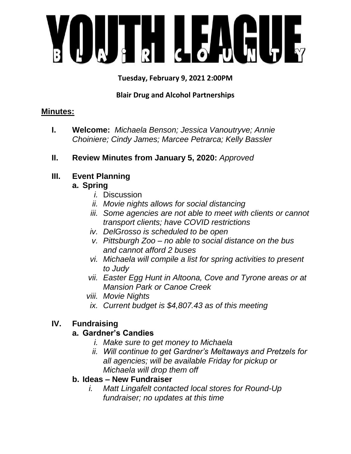

**Tuesday, February 9, 2021 2:00PM**

#### **Blair Drug and Alcohol Partnerships**

#### **Minutes:**

- **I. Welcome:** *Michaela Benson; Jessica Vanoutryve; Annie Choiniere; Cindy James; Marcee Petrarca; Kelly Bassler*
- **II. Review Minutes from January 5, 2020:** *Approved*
- **III. Event Planning**

# **a. Spring**

- *i.* Discussion
- *ii. Movie nights allows for social distancing*
- *iii. Some agencies are not able to meet with clients or cannot transport clients; have COVID restrictions*
- *iv. DelGrosso is scheduled to be open*
- *v. Pittsburgh Zoo – no able to social distance on the bus and cannot afford 2 buses*
- *vi. Michaela will compile a list for spring activities to present to Judy*
- *vii. Easter Egg Hunt in Altoona, Cove and Tyrone areas or at Mansion Park or Canoe Creek*
- *viii. Movie Nights*
- *ix. Current budget is \$4,807.43 as of this meeting*

# **IV. Fundraising**

# **a. Gardner's Candies**

- *i. Make sure to get money to Michaela*
- *ii. Will continue to get Gardner's Meltaways and Pretzels for all agencies; will be available Friday for pickup or Michaela will drop them off*

#### **b. Ideas – New Fundraiser**

*i. Matt Lingafelt contacted local stores for Round-Up fundraiser; no updates at this time*